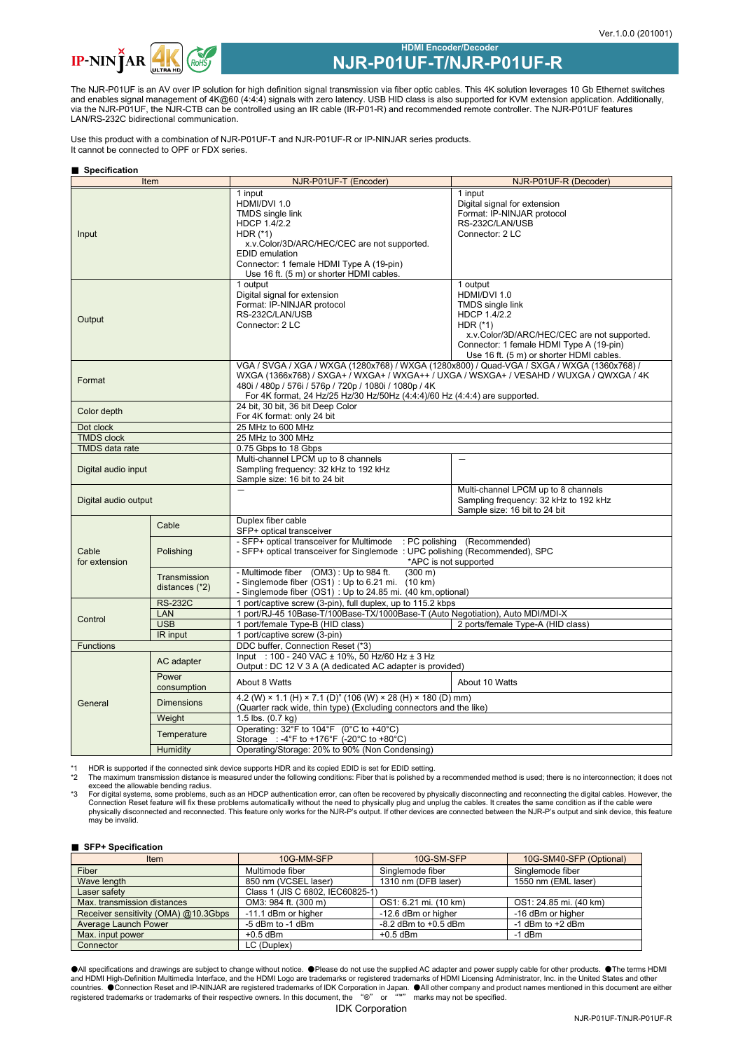

# **HDMI Encoder/Decoder NJR-P01UF-T/NJR-P01UF-R**

The NJR-P01UF is an AV over IP solution for high definition signal transmission via fiber optic cables. This 4K solution leverages 10 Gb Ethernet switches and enables signal management of 4K@60 (4:4:4) signals with zero latency. USB HID class is also supported for KVM extension application. Additionally, via the NJR-P01UF, the NJR-CTB can be controlled using an IR cable (IR-P01-R) and recommended remote controller. The NJR-P01UF features LAN/RS-232C bidirectional communication.

Use this product with a combination of NJR-P01UF-T and NJR-P01UF-R or IP-NINJAR series products. It cannot be connected to OPF or FDX series.

### ■ **Specification**

| Item                   |                                | NJR-P01UF-T (Encoder)                                                                                                                                                                                                                                                                                                       | NJR-P01UF-R (Decoder)                                                                                                                                                                                                   |  |
|------------------------|--------------------------------|-----------------------------------------------------------------------------------------------------------------------------------------------------------------------------------------------------------------------------------------------------------------------------------------------------------------------------|-------------------------------------------------------------------------------------------------------------------------------------------------------------------------------------------------------------------------|--|
| Input                  |                                | 1 input<br>HDMI/DVI 1.0<br>TMDS single link<br>HDCP 1.4/2.2<br>HDR $(*)$<br>x.v.Color/3D/ARC/HEC/CEC are not supported.<br><b>EDID</b> emulation<br>Connector: 1 female HDMI Type A (19-pin)<br>Use 16 ft. (5 m) or shorter HDMI cables.                                                                                    | 1 input<br>Digital signal for extension<br>Format: IP-NINJAR protocol<br>RS-232C/LAN/USB<br>Connector: 2 LC                                                                                                             |  |
| Output                 |                                | 1 output<br>Digital signal for extension<br>Format: IP-NINJAR protocol<br>RS-232C/LAN/USB<br>Connector: 2 LC                                                                                                                                                                                                                | 1 output<br>HDMI/DVI 1.0<br><b>TMDS</b> single link<br>HDCP 1.4/2.2<br>HDR $(*)$<br>x.v.Color/3D/ARC/HEC/CEC are not supported.<br>Connector: 1 female HDMI Type A (19-pin)<br>Use 16 ft. (5 m) or shorter HDMI cables. |  |
| Format                 |                                | VGA / SVGA / XGA / WXGA (1280x768) / WXGA (1280x800) / Quad-VGA / SXGA / WXGA (1360x768) /<br>WXGA (1366x768) / SXGA+ / WXGA+ / WXGA++ / UXGA / WSXGA+ / VESAHD / WUXGA / QWXGA / 4K<br>480i / 480p / 576i / 576p / 720p / 1080i / 1080p / 4K<br>For 4K format, 24 Hz/25 Hz/30 Hz/50Hz (4:4:4)/60 Hz (4:4:4) are supported. |                                                                                                                                                                                                                         |  |
| Color depth            |                                | 24 bit, 30 bit, 36 bit Deep Color<br>For 4K format: only 24 bit                                                                                                                                                                                                                                                             |                                                                                                                                                                                                                         |  |
| Dot clock              |                                | 25 MHz to 600 MHz                                                                                                                                                                                                                                                                                                           |                                                                                                                                                                                                                         |  |
| <b>TMDS</b> clock      |                                | 25 MHz to 300 MHz                                                                                                                                                                                                                                                                                                           |                                                                                                                                                                                                                         |  |
| <b>TMDS</b> data rate  |                                | 0.75 Gbps to 18 Gbps                                                                                                                                                                                                                                                                                                        |                                                                                                                                                                                                                         |  |
| Digital audio input    |                                | Multi-channel LPCM up to 8 channels<br>Sampling frequency: 32 kHz to 192 kHz<br>Sample size: 16 bit to 24 bit                                                                                                                                                                                                               | $\overline{\phantom{0}}$                                                                                                                                                                                                |  |
| Digital audio output   |                                | $\overline{\phantom{0}}$                                                                                                                                                                                                                                                                                                    | Multi-channel LPCM up to 8 channels<br>Sampling frequency: 32 kHz to 192 kHz<br>Sample size: 16 bit to 24 bit                                                                                                           |  |
|                        | Cable                          | Duplex fiber cable<br>SFP+ optical transceiver                                                                                                                                                                                                                                                                              |                                                                                                                                                                                                                         |  |
| Cable<br>for extension | Polishing                      | - SFP+ optical transceiver for Multimode : PC polishing (Recommended)<br>- SFP+ optical transceiver for Singlemode: UPC polishing (Recommended), SPC<br>*APC is not supported                                                                                                                                               |                                                                                                                                                                                                                         |  |
|                        | Transmission<br>distances (*2) | - Multimode fiber (OM3): Up to 984 ft.<br>$(300 \, \text{m})$<br>- Singlemode fiber (OS1): Up to 6.21 mi. (10 km)<br>- Singlemode fiber (OS1) : Up to 24.85 mi. (40 km, optional)                                                                                                                                           |                                                                                                                                                                                                                         |  |
| Control                | <b>RS-232C</b>                 | 1 port/captive screw (3-pin), full duplex, up to 115.2 kbps                                                                                                                                                                                                                                                                 |                                                                                                                                                                                                                         |  |
|                        | LAN                            | 1 port/RJ-45 10Base-T/100Base-TX/1000Base-T (Auto Negotiation), Auto MDI/MDI-X                                                                                                                                                                                                                                              |                                                                                                                                                                                                                         |  |
|                        | <b>USB</b>                     | 1 port/female Type-B (HID class)                                                                                                                                                                                                                                                                                            | 2 ports/female Type-A (HID class)                                                                                                                                                                                       |  |
|                        | IR input                       | 1 port/captive screw (3-pin)                                                                                                                                                                                                                                                                                                |                                                                                                                                                                                                                         |  |
| <b>Functions</b>       |                                | DDC buffer, Connection Reset (*3)                                                                                                                                                                                                                                                                                           |                                                                                                                                                                                                                         |  |
| General                | AC adapter                     | Input: 100 - 240 VAC ± 10%, 50 Hz/60 Hz ± 3 Hz<br>Output : DC 12 V 3 A (A dedicated AC adapter is provided)                                                                                                                                                                                                                 |                                                                                                                                                                                                                         |  |
|                        | Power<br>consumption           | About 8 Watts                                                                                                                                                                                                                                                                                                               | About 10 Watts                                                                                                                                                                                                          |  |
|                        | <b>Dimensions</b>              | 4.2 (W) × 1.1 (H) × 7.1 (D)" (106 (W) × 28 (H) × 180 (D) mm)<br>(Quarter rack wide, thin type) (Excluding connectors and the like)                                                                                                                                                                                          |                                                                                                                                                                                                                         |  |
|                        | Weight                         | 1.5 lbs. (0.7 kg)                                                                                                                                                                                                                                                                                                           |                                                                                                                                                                                                                         |  |
|                        | Temperature                    | Operating: 32°F to 104°F (0°C to +40°C)<br>Storage : -4°F to +176°F (-20°C to +80°C)                                                                                                                                                                                                                                        |                                                                                                                                                                                                                         |  |
|                        | Humidity                       | Operating/Storage: 20% to 90% (Non Condensing)                                                                                                                                                                                                                                                                              |                                                                                                                                                                                                                         |  |

\*1 HDR is supported if the connected sink device supports HDR and its copied EDID is set for EDID setting.<br>\*2 The maximum transmission distance is measured under the following conditions: Eiher that is polished by

\*2 The maximum transmission distance is measured under the following conditions: Fiber that is polished by a recommended method is used; there is no interconnection; it does not exceed the allowable bending radius.

53 For digital systems, some problems, such as an HDCP authentication error, can often be recovered by physically disconnecting and reconnecting the digital cables. However, the Connection Reset feature will fix these prob priyeidally also

### ■ **SFP+ Specification**

| $\blacksquare$ $\blacksquare$ $\blacksquare$ $\blacksquare$ $\blacksquare$ $\blacksquare$ |                                 |                          |                         |  |  |
|-------------------------------------------------------------------------------------------|---------------------------------|--------------------------|-------------------------|--|--|
| Item                                                                                      | 10G-MM-SFP                      | 10G-SM-SFP               | 10G-SM40-SFP (Optional) |  |  |
| Fiber                                                                                     | Multimode fiber                 | Singlemode fiber         | Singlemode fiber        |  |  |
| Wave length                                                                               | 850 nm (VCSEL laser)            | 1310 nm (DFB laser)      | 1550 nm (EML laser)     |  |  |
| Laser safety                                                                              | Class 1 (JIS C 6802, IEC60825-1 |                          |                         |  |  |
| Max. transmission distances                                                               | OM3: 984 ft. (300 m)            | OS1: 6.21 mi. (10 km)    | OS1: 24.85 mi. (40 km)  |  |  |
| Receiver sensitivity (OMA) @10.3Gbps                                                      | -11.1 dBm or higher             | -12.6 dBm or higher      | -16 dBm or higher       |  |  |
| Average Launch Power                                                                      | -5 dBm to -1 dBm                | $-8.2$ dBm to $+0.5$ dBm | -1 $dBm$ to $+2$ dBm    |  |  |
| Max. input power                                                                          | $+0.5$ dBm                      | $+0.5$ dBm               | $-1$ dBm                |  |  |
| Connector                                                                                 | LC (Duplex)                     |                          |                         |  |  |

AAll specifications and drawings are subject to change without notice. ●Please do not use the supplied AC adapter and power supply cable for other products. ●The terms HDMI<br>and HDMI High-Definition Multimedia Interface,